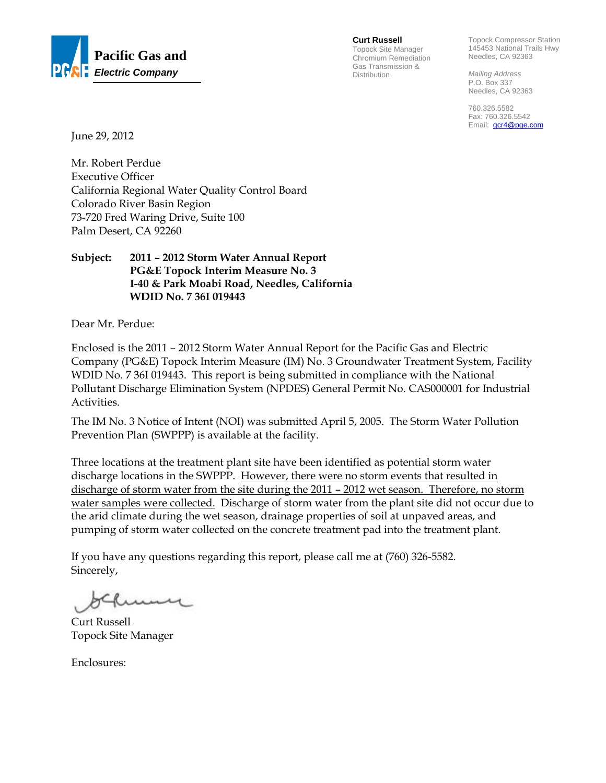

**Curt Russell** Topock Site Manager Chromium Remediation Gas Transmission & Distribution

Topock Compressor Station 145453 National Trails Hwy Needles, CA 92363

*Mailing Address*  P.O. Box 337 Needles, CA 92363

760.326.5582 Fax: 760.326.5542 Email: **gcr4@pge.com** 

June 29, 2012

Mr. Robert Perdue Executive Officer California Regional Water Quality Control Board Colorado River Basin Region 73-720 Fred Waring Drive, Suite 100 Palm Desert, CA 92260

#### **Subject: 2011 – 2012 Storm Water Annual Report PG&E Topock Interim Measure No. 3 I-40 & Park Moabi Road, Needles, California WDID No. 7 36I 019443**

Dear Mr. Perdue:

Enclosed is the 2011 – 2012 Storm Water Annual Report for the Pacific Gas and Electric Company (PG&E) Topock Interim Measure (IM) No. 3 Groundwater Treatment System, Facility WDID No. 7 36I 019443. This report is being submitted in compliance with the National Pollutant Discharge Elimination System (NPDES) General Permit No. CAS000001 for Industrial Activities.

The IM No. 3 Notice of Intent (NOI) was submitted April 5, 2005. The Storm Water Pollution Prevention Plan (SWPPP) is available at the facility.

Three locations at the treatment plant site have been identified as potential storm water discharge locations in the SWPPP. However, there were no storm events that resulted in discharge of storm water from the site during the 2011 – 2012 wet season. Therefore, no storm water samples were collected. Discharge of storm water from the plant site did not occur due to the arid climate during the wet season, drainage properties of soil at unpaved areas, and pumping of storm water collected on the concrete treatment pad into the treatment plant.

If you have any questions regarding this report, please call me at (760) 326-5582. Sincerely,

Curt Russell Topock Site Manager

Enclosures: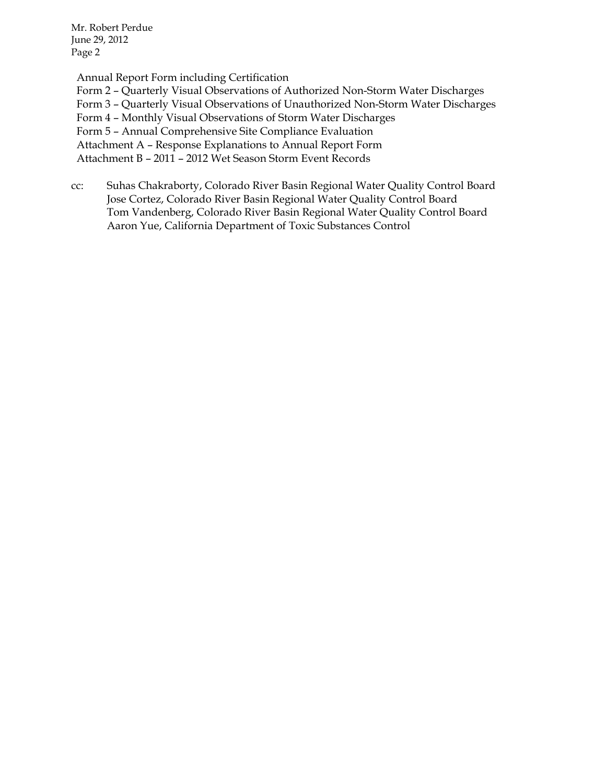Mr. Robert Perdue June 29, 2012 Page 2

 Annual Report Form including Certification Form 2 – Quarterly Visual Observations of Authorized Non-Storm Water Discharges Form 3 – Quarterly Visual Observations of Unauthorized Non-Storm Water Discharges Form 4 – Monthly Visual Observations of Storm Water Discharges Form 5 – Annual Comprehensive Site Compliance Evaluation Attachment A – Response Explanations to Annual Report Form Attachment B – 2011 – 2012 Wet Season Storm Event Records

cc: Suhas Chakraborty, Colorado River Basin Regional Water Quality Control Board Jose Cortez, Colorado River Basin Regional Water Quality Control Board Tom Vandenberg, Colorado River Basin Regional Water Quality Control Board Aaron Yue, California Department of Toxic Substances Control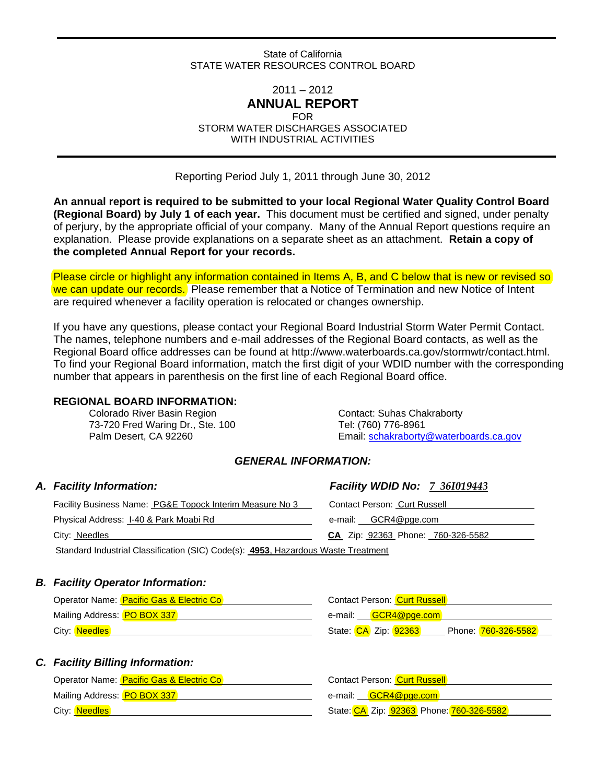#### State of California STATE WATER RESOURCES CONTROL BOARD

#### $2011 - 2012$ **ANNUAL REPORT**

FOR

STORM WATER DISCHARGES ASSOCIATED WITH INDUSTRIAL ACTIVITIES

Reporting Period July 1, 2011 through June 30, 2012

**An annual report is required to be submitted to your local Regional Water Quality Control Board (Regional Board) by July 1 of each year.** This document must be certified and signed, under penalty of perjury, by the appropriate official of your company. Many of the Annual Report questions require an explanation. Please provide explanations on a separate sheet as an attachment. **Retain a copy of the completed Annual Report for your records.**

Please circle or highlight any information contained in Items A, B, and C below that is new or revised so we can update our records. Please remember that a Notice of Termination and new Notice of Intent are required whenever a facility operation is relocated or changes ownership.

If you have any questions, please contact your Regional Board Industrial Storm Water Permit Contact. The names, telephone numbers and e-mail addresses of the Regional Board contacts, as well as the Regional Board office addresses can be found at http://www.waterboards.ca.gov/stormwtr/contact.html. To find your Regional Board information, match the first digit of your WDID number with the corresponding number that appears in parenthesis on the first line of each Regional Board office.

#### **REGIONAL BOARD INFORMATION:**

73-720 Fred Waring Dr., Ste. 100 Tel: (760) 776-8961

Colorado River Basin Region Contact: Suhas Chakraborty Palm Desert, CA 92260 Email: schakraborty@waterboards.ca.gov

### *GENERAL INFORMATION:*

| A. Facility Information:                                                         | <b>Facility WDID No: 7 361019443</b> |
|----------------------------------------------------------------------------------|--------------------------------------|
| Facility Business Name: PG&E Topock Interim Measure No 3                         | <b>Contact Person: Curt Russell</b>  |
| Physical Address: I-40 & Park Moabi Rd                                           | e-mail: GCR4@pge.com                 |
| City: Needles                                                                    | CA Zip: 92363 Phone: 760-326-5582    |
| Standard Industrial Classification (SIC) Code(s): A053 Hazardous Waste Treatment |                                      |

Standard Industrial Classification (SIC) Code(s): **4953**, Hazardous Waste Treatment

#### *B. Facility Operator Information:*

| Operator Name: <b>Pacific Gas &amp; Electric Co</b> | <b>Contact Person: Curt Russell</b>         |
|-----------------------------------------------------|---------------------------------------------|
| Mailing Address: <b>PO BOX 337</b>                  | e-mail: <b>GCR4@pge.com</b>                 |
| City: Needles                                       | State: CA Zip: 92363<br>Phone: 760-326-5582 |

#### *C. Facility Billing Information:*

| Operator Name: <b>Pacific Gas &amp; Electric Co</b> | Contact Person: Curt Russell             |
|-----------------------------------------------------|------------------------------------------|
| Mailing Address: PO BOX 337                         | e-mail: <mark>GCR4@pge.com</mark>        |
| City: Needles                                       | State: CA Zip: 92363 Phone: 760-326-5582 |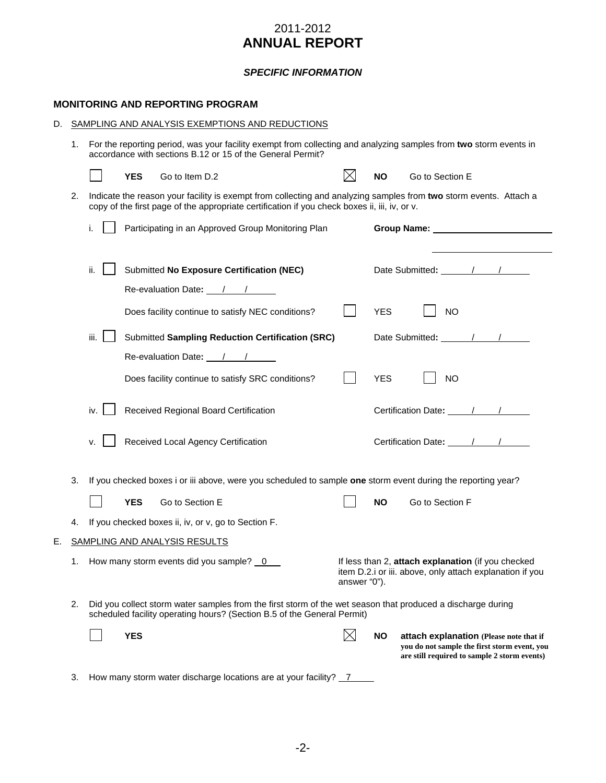#### *SPECIFIC INFORMATION*

#### **MONITORING AND REPORTING PROGRAM**

| D. | SAMPLING AND ANALYSIS EXEMPTIONS AND REDUCTIONS |                                                                                                                                                                                 |            |                                                     |                                                                                               |  |              |            |                                                                                                                                                                                                                                      |
|----|-------------------------------------------------|---------------------------------------------------------------------------------------------------------------------------------------------------------------------------------|------------|-----------------------------------------------------|-----------------------------------------------------------------------------------------------|--|--------------|------------|--------------------------------------------------------------------------------------------------------------------------------------------------------------------------------------------------------------------------------------|
|    | 1.                                              | For the reporting period, was your facility exempt from collecting and analyzing samples from two storm events in<br>accordance with sections B.12 or 15 of the General Permit? |            |                                                     |                                                                                               |  |              |            |                                                                                                                                                                                                                                      |
|    |                                                 |                                                                                                                                                                                 | <b>YES</b> | Go to Item D.2                                      |                                                                                               |  | $\bowtie$    | <b>NO</b>  | Go to Section E                                                                                                                                                                                                                      |
|    | 2.                                              |                                                                                                                                                                                 |            |                                                     | copy of the first page of the appropriate certification if you check boxes ii, iii, iv, or v. |  |              |            | Indicate the reason your facility is exempt from collecting and analyzing samples from two storm events. Attach a                                                                                                                    |
|    |                                                 | i.                                                                                                                                                                              |            |                                                     | Participating in an Approved Group Monitoring Plan                                            |  |              |            | Group Name: <u>contract and the set of the set of the set of the set of the set of the set of the set of the set of the set of the set of the set of the set of the set of the set of the set of the set of the set of the set o</u> |
|    |                                                 | ii.                                                                                                                                                                             |            | Re-evaluation Date: 11                              | Submitted No Exposure Certification (NEC)                                                     |  |              |            |                                                                                                                                                                                                                                      |
|    |                                                 |                                                                                                                                                                                 |            |                                                     | Does facility continue to satisfy NEC conditions?                                             |  |              | <b>YES</b> | <b>NO</b>                                                                                                                                                                                                                            |
|    |                                                 | iii.                                                                                                                                                                            |            |                                                     | <b>Submitted Sampling Reduction Certification (SRC)</b>                                       |  |              |            |                                                                                                                                                                                                                                      |
|    |                                                 |                                                                                                                                                                                 |            | Re-evaluation Date: / /                             |                                                                                               |  |              |            |                                                                                                                                                                                                                                      |
|    |                                                 |                                                                                                                                                                                 |            |                                                     | Does facility continue to satisfy SRC conditions?                                             |  |              | <b>YES</b> | <b>NO</b>                                                                                                                                                                                                                            |
|    |                                                 | iv.                                                                                                                                                                             |            | Received Regional Board Certification               |                                                                                               |  |              |            | Certification Date: 11/11/11                                                                                                                                                                                                         |
|    |                                                 | v.                                                                                                                                                                              |            | Received Local Agency Certification                 |                                                                                               |  |              |            | Certification Date: 11/11/11/11                                                                                                                                                                                                      |
|    | 3.                                              |                                                                                                                                                                                 |            |                                                     |                                                                                               |  |              |            | If you checked boxes i or iii above, were you scheduled to sample one storm event during the reporting year?                                                                                                                         |
|    |                                                 |                                                                                                                                                                                 | <b>YES</b> | Go to Section E                                     |                                                                                               |  |              | NO.        | Go to Section F                                                                                                                                                                                                                      |
|    | 4.                                              |                                                                                                                                                                                 |            | If you checked boxes ii, iv, or v, go to Section F. |                                                                                               |  |              |            |                                                                                                                                                                                                                                      |
| Ε. |                                                 |                                                                                                                                                                                 |            | SAMPLING AND ANALYSIS RESULTS                       |                                                                                               |  |              |            |                                                                                                                                                                                                                                      |
|    |                                                 |                                                                                                                                                                                 |            | 1. How many storm events did you sample? _0         |                                                                                               |  | answer "0"). |            | If less than 2, attach explanation (if you checked<br>item D.2.i or iii. above, only attach explanation if you                                                                                                                       |
|    | 2.                                              |                                                                                                                                                                                 |            |                                                     | scheduled facility operating hours? (Section B.5 of the General Permit)                       |  |              |            | Did you collect storm water samples from the first storm of the wet season that produced a discharge during                                                                                                                          |
|    |                                                 |                                                                                                                                                                                 | <b>YES</b> |                                                     |                                                                                               |  | $\boxtimes$  | <b>NO</b>  | attach explanation (Please note that if<br>vou do not sample the first storm event, you<br>are still required to sample 2 storm events)                                                                                              |
|    | 3.                                              |                                                                                                                                                                                 |            |                                                     | How many storm water discharge locations are at your facility? _7                             |  |              |            |                                                                                                                                                                                                                                      |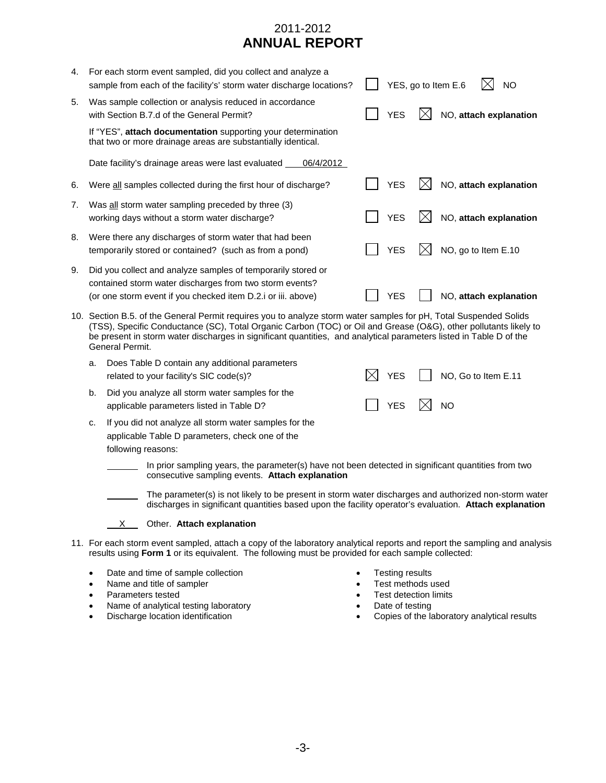| 4.                                                                                                                                    |                                                                                                                              | For each storm event sampled, did you collect and analyze a<br>sample from each of the facility's' storm water discharge locations?                                                                                                                                                                                                                                            |  |            |  | YES, go to Item E.6<br>NO |
|---------------------------------------------------------------------------------------------------------------------------------------|------------------------------------------------------------------------------------------------------------------------------|--------------------------------------------------------------------------------------------------------------------------------------------------------------------------------------------------------------------------------------------------------------------------------------------------------------------------------------------------------------------------------|--|------------|--|---------------------------|
| 5.                                                                                                                                    |                                                                                                                              | Was sample collection or analysis reduced in accordance<br>with Section B.7.d of the General Permit?                                                                                                                                                                                                                                                                           |  | <b>YES</b> |  | NO, attach explanation    |
|                                                                                                                                       | If "YES", attach documentation supporting your determination<br>that two or more drainage areas are substantially identical. |                                                                                                                                                                                                                                                                                                                                                                                |  |            |  |                           |
|                                                                                                                                       |                                                                                                                              | Date facility's drainage areas were last evaluated<br>06/4/2012                                                                                                                                                                                                                                                                                                                |  |            |  |                           |
| 6.                                                                                                                                    |                                                                                                                              | Were all samples collected during the first hour of discharge?                                                                                                                                                                                                                                                                                                                 |  | <b>YES</b> |  | NO, attach explanation    |
| 7.                                                                                                                                    |                                                                                                                              | Was all storm water sampling preceded by three (3)<br>working days without a storm water discharge?                                                                                                                                                                                                                                                                            |  | <b>YES</b> |  | NO, attach explanation    |
| 8.                                                                                                                                    |                                                                                                                              | Were there any discharges of storm water that had been<br>temporarily stored or contained? (such as from a pond)                                                                                                                                                                                                                                                               |  | <b>YES</b> |  | NO, go to Item E.10       |
| 9.                                                                                                                                    |                                                                                                                              | Did you collect and analyze samples of temporarily stored or<br>contained storm water discharges from two storm events?<br>(or one storm event if you checked item D.2.i or iii. above)                                                                                                                                                                                        |  | YES        |  | NO, attach explanation    |
|                                                                                                                                       |                                                                                                                              | 10. Section B.5. of the General Permit requires you to analyze storm water samples for pH, Total Suspended Solids<br>(TSS), Specific Conductance (SC), Total Organic Carbon (TOC) or Oil and Grease (O&G), other pollutants likely to<br>be present in storm water discharges in significant quantities, and analytical parameters listed in Table D of the<br>General Permit. |  |            |  |                           |
|                                                                                                                                       | a.                                                                                                                           | Does Table D contain any additional parameters<br>related to your facility's SIC code(s)?                                                                                                                                                                                                                                                                                      |  | <b>YES</b> |  | NO, Go to Item E.11       |
|                                                                                                                                       | b.                                                                                                                           | Did you analyze all storm water samples for the<br>applicable parameters listed in Table D?                                                                                                                                                                                                                                                                                    |  | <b>YES</b> |  | <b>NO</b>                 |
| If you did not analyze all storm water samples for the<br>c.<br>applicable Table D parameters, check one of the<br>following reasons: |                                                                                                                              |                                                                                                                                                                                                                                                                                                                                                                                |  |            |  |                           |
|                                                                                                                                       |                                                                                                                              | In prior sampling years, the parameter(s) have not been detected in significant quantities from two<br>consecutive sampling events. Attach explanation                                                                                                                                                                                                                         |  |            |  |                           |
|                                                                                                                                       |                                                                                                                              | The parameter(s) is not likely to be present in storm water discharges and authorized non-storm water<br>discharges in significant quantities based upon the facility operator's evaluation. Attach explanation                                                                                                                                                                |  |            |  |                           |
|                                                                                                                                       |                                                                                                                              | Other. Attach explanation<br>X.                                                                                                                                                                                                                                                                                                                                                |  |            |  |                           |
| 11                                                                                                                                    |                                                                                                                              | Ear each starm ovent sampled, attach a seny of the laboratory apolytical reports and report the sampling and apolysic                                                                                                                                                                                                                                                          |  |            |  |                           |

- 11. For each storm event sampled, attach a copy of the laboratory analytical reports and report the sampling and analysis results using **Form 1** or its equivalent. The following must be provided for each sample collected:
	- Date and time of sample collection
	- Name and title of sampler
	- Parameters tested
	- Name of analytical testing laboratory
	- Discharge location identification
- Testing results
- Test methods used
- Test detection limits
- Date of testing
- Copies of the laboratory analytical results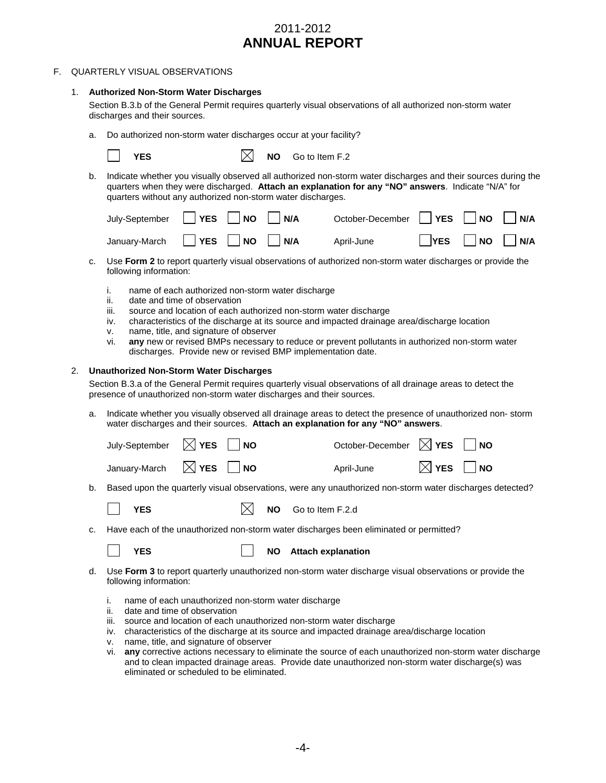#### F. QUARTERLY VISUAL OBSERVATIONS

#### 1. **Authorized Non-Storm Water Discharges**

Section B.3.b of the General Permit requires quarterly visual observations of all authorized non-storm water discharges and their sources.

a. Do authorized non-storm water discharges occur at your facility?

 $\bowtie$  **NO** Go to Item F.2

b. Indicate whether you visually observed all authorized non-storm water discharges and their sources during the quarters when they were discharged. **Attach an explanation for any "NO" answers**. Indicate "N/A" for quarters without any authorized non-storm water discharges.

| July-September $\Box$ YES $\Box$ NO $\Box$ N/A | October-December <b>PYES</b> NO N/A |                                 |  |
|------------------------------------------------|-------------------------------------|---------------------------------|--|
| January-March $\Box$ YES $\Box$ NO $\Box$ N/A  | April-June                          | $\Box$ YES $\Box$ NO $\Box$ N/A |  |

- c. Use **Form 2** to report quarterly visual observations of authorized non-storm water discharges or provide the following information:
	- i. name of each authorized non-storm water discharge
	- ii. date and time of observation
	- iii. source and location of each authorized non-storm water discharge
	- iv. characteristics of the discharge at its source and impacted drainage area/discharge location
	- v. name, title, and signature of observer
	- vi. **any** new or revised BMPs necessary to reduce or prevent pollutants in authorized non-storm water discharges. Provide new or revised BMP implementation date.

#### 2. **Unauthorized Non-Storm Water Discharges**

Section B.3.a of the General Permit requires quarterly visual observations of all drainage areas to detect the presence of unauthorized non-storm water discharges and their sources.

a. Indicate whether you visually observed all drainage areas to detect the presence of unauthorized non- storm water discharges and their sources. **Attach an explanation for any "NO" answers**.

| July-September $\boxtimes$ YES $\Box$ NO | October-December $\boxtimes$ YES $\Box$ NO |                             |
|------------------------------------------|--------------------------------------------|-----------------------------|
| January-March $\boxtimes$ YES $\Box$ NO  | April-June                                 | $\boxtimes$ YES $\,\Box$ NO |

b. Based upon the quarterly visual observations, were any unauthorized non-storm water discharges detected?

| <b>YES</b> |  |  | NO Go to Item F.2.d |
|------------|--|--|---------------------|
|------------|--|--|---------------------|

Have each of the unauthorized non-storm water discharges been eliminated or permitted?

**FS**  $\vert$  **NO** Attach explanation

- d. Use **Form 3** to report quarterly unauthorized non-storm water discharge visual observations or provide the following information:
	- i. name of each unauthorized non-storm water discharge
	- ii. date and time of observation
	- iii. source and location of each unauthorized non-storm water discharge
	- iv. characteristics of the discharge at its source and impacted drainage area/discharge location
	- v. name, title, and signature of observer
	- vi. **any** corrective actions necessary to eliminate the source of each unauthorized non-storm water discharge and to clean impacted drainage areas. Provide date unauthorized non-storm water discharge(s) was eliminated or scheduled to be eliminated.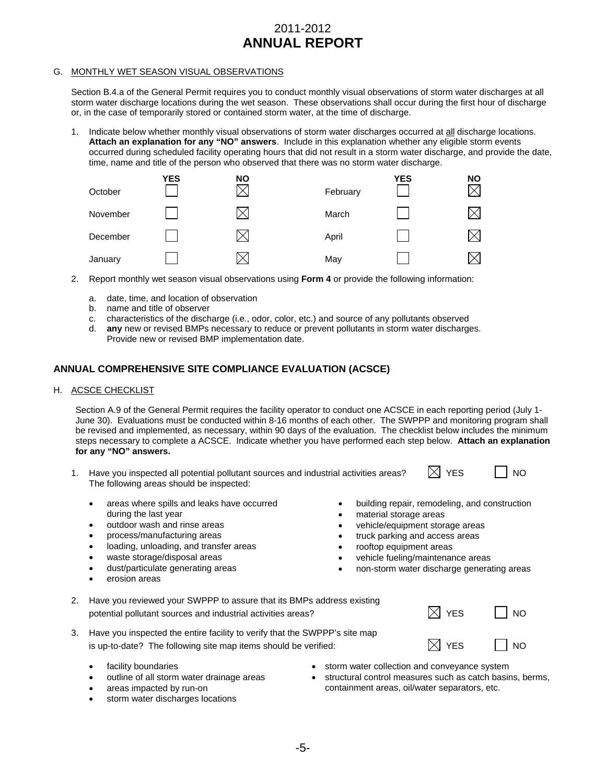#### G. MONTHLY WET SEASON VISUAL OBSERVATIONS

Section B.4.a of the General Permit requires you to conduct monthly visual observations of storm water discharges at all storm water discharge locations during the wet season. These observations shall occur during the first hour of discharge or, in the case of temporarily stored or contained storm water, at the time of discharge.

1. Indicate below whether monthly visual observations of storm water discharges occurred at all discharge locations. **Attach an explanation for any "NO" answers**. Include in this explanation whether any eligible storm events occurred during scheduled facility operating hours that did not result in a storm water discharge, and provide the date, time, name and title of the person who observed that there was no storm water discharge.



- 2. Report monthly wet season visual observations using **Form 4** or provide the following information:
	- a. date, time, and location of observation
	- b. name and title of observer
	- c. characteristics of the discharge (i.e., odor, color, etc.) and source of any pollutants observed
	- d. **any** new or revised BMPs necessary to reduce or prevent pollutants in storm water discharges. Provide new or revised BMP implementation date.

#### **ANNUAL COMPREHENSIVE SITE COMPLIANCE EVALUATION (ACSCE)**

#### H. ACSCE CHECKLIST

Section A.9 of the General Permit requires the facility operator to conduct one ACSCE in each reporting period (July 1- June 30). Evaluations must be conducted within 8-16 months of each other. The SWPPP and monitoring program shall be revised and implemented, as necessary, within 90 days of the evaluation. The checklist below includes the minimum steps necessary to complete a ACSCE. Indicate whether you have performed each step below. **Attach an explanation for any "NO" answers.** 

- 1. Have you inspected all potential pollutant sources and industrial activities areas?  $\boxtimes$  YES  $\Box$  NO The following areas should be inspected:
	- areas where spills and leaks have occurred during the last year
	- outdoor wash and rinse areas
	- process/manufacturing areas
	- loading, unloading, and transfer areas
	- waste storage/disposal areas
	- dust/particulate generating areas
	- erosion areas
- building repair, remodeling, and construction
- material storage areas
- vehicle/equipment storage areas
- truck parking and access areas
- rooftop equipment areas
- vehicle fueling/maintenance areas
- non-storm water discharge generating areas

| 2. Have you reviewed your SWPPP to assure that its BMPs address existing<br>potential pollutant sources and industrial activities areas?         | $\boxtimes$ YES | $\Box$ NO |
|--------------------------------------------------------------------------------------------------------------------------------------------------|-----------------|-----------|
| 3. Have you inspected the entire facility to verify that the SWPPP's site map<br>is up-to-date? The following site map items should be verified: | $\times$ YES    | $\Box$ NO |

- facility boundaries
- outline of all storm water drainage areas
- areas impacted by run-on
- storm water discharges locations
- storm water collection and conveyance system
- structural control measures such as catch basins, berms, containment areas, oil/water separators, etc.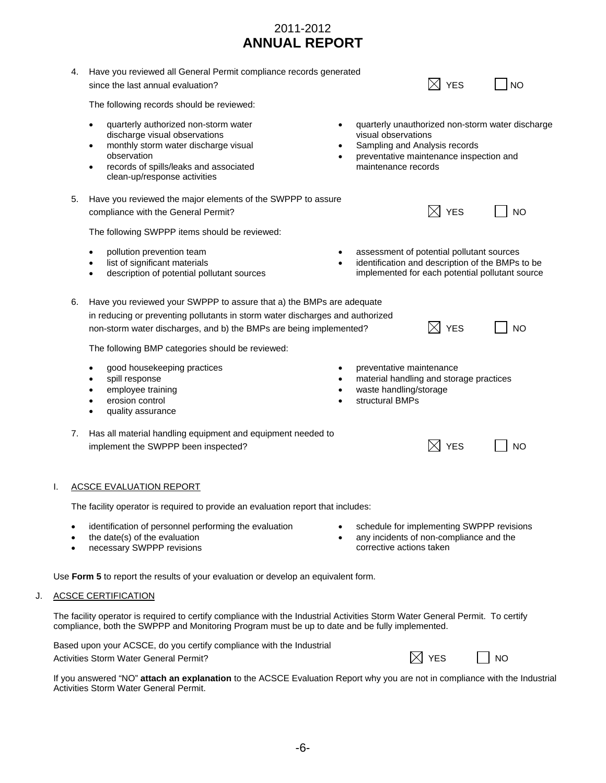|    | 4.                     | Have you reviewed all General Permit compliance records generated<br>since the last annual evaluation?                                                                                                                                                                          |           |                                                                                                                        | <b>YES</b>      | <b>NO</b>                                                                                           |
|----|------------------------|---------------------------------------------------------------------------------------------------------------------------------------------------------------------------------------------------------------------------------------------------------------------------------|-----------|------------------------------------------------------------------------------------------------------------------------|-----------------|-----------------------------------------------------------------------------------------------------|
|    |                        | The following records should be reviewed:                                                                                                                                                                                                                                       |           |                                                                                                                        |                 |                                                                                                     |
|    |                        | quarterly authorized non-storm water<br>$\bullet$<br>discharge visual observations<br>monthly storm water discharge visual<br>٠<br>observation<br>records of spills/leaks and associated<br>$\bullet$<br>clean-up/response activities                                           |           | visual observations<br>Sampling and Analysis records<br>preventative maintenance inspection and<br>maintenance records |                 | quarterly unauthorized non-storm water discharge                                                    |
|    | 5.                     | Have you reviewed the major elements of the SWPPP to assure<br>compliance with the General Permit?                                                                                                                                                                              |           |                                                                                                                        | <b>YES</b>      | <b>NO</b>                                                                                           |
|    |                        | The following SWPPP items should be reviewed:                                                                                                                                                                                                                                   |           |                                                                                                                        |                 |                                                                                                     |
|    |                        | pollution prevention team<br>$\bullet$<br>list of significant materials<br>$\bullet$<br>description of potential pollutant sources<br>$\bullet$                                                                                                                                 | $\bullet$ | assessment of potential pollutant sources                                                                              |                 | identification and description of the BMPs to be<br>implemented for each potential pollutant source |
|    | 6.                     | Have you reviewed your SWPPP to assure that a) the BMPs are adequate<br>in reducing or preventing pollutants in storm water discharges and authorized<br>non-storm water discharges, and b) the BMPs are being implemented?<br>The following BMP categories should be reviewed: |           |                                                                                                                        | <b>YES</b>      | <b>NO</b>                                                                                           |
|    |                        | good housekeeping practices<br>$\bullet$<br>spill response<br>٠<br>employee training<br>$\bullet$<br>erosion control<br>$\bullet$<br>quality assurance                                                                                                                          |           | preventative maintenance<br>material handling and storage practices<br>waste handling/storage<br>structural BMPs       |                 |                                                                                                     |
|    | 7.                     | Has all material handling equipment and equipment needed to<br>implement the SWPPP been inspected?                                                                                                                                                                              |           |                                                                                                                        | <b>YES</b>      | <b>NO</b>                                                                                           |
|    |                        | <b>ACSCE EVALUATION REPORT</b>                                                                                                                                                                                                                                                  |           |                                                                                                                        |                 |                                                                                                     |
|    |                        | The facility operator is required to provide an evaluation report that includes:                                                                                                                                                                                                |           |                                                                                                                        |                 |                                                                                                     |
|    | $\bullet$<br>$\bullet$ | identification of personnel performing the evaluation<br>the date(s) of the evaluation<br>necessary SWPPP revisions                                                                                                                                                             |           | schedule for implementing SWPPP revisions<br>any incidents of non-compliance and the<br>corrective actions taken       |                 |                                                                                                     |
|    |                        | Use Form 5 to report the results of your evaluation or develop an equivalent form.                                                                                                                                                                                              |           |                                                                                                                        |                 |                                                                                                     |
| J. |                        | <b>ACSCE CERTIFICATION</b>                                                                                                                                                                                                                                                      |           |                                                                                                                        |                 |                                                                                                     |
|    |                        | The facility operator is required to certify compliance with the Industrial Activities Storm Water General Permit. To certify<br>compliance, both the SWPPP and Monitoring Program must be up to date and be fully implemented.                                                 |           |                                                                                                                        |                 |                                                                                                     |
|    |                        | Based upon your ACSCE, do you certify compliance with the Industrial<br>Activities Storm Water General Permit?                                                                                                                                                                  |           |                                                                                                                        | $\boxtimes$ YES | <b>NO</b>                                                                                           |
|    |                        | If you answered "NO" attach an explanation to the ACSCE Evaluation Report why you are not in compliance with the Industrial<br><b>Activities Storm Water General Permit.</b>                                                                                                    |           |                                                                                                                        |                 |                                                                                                     |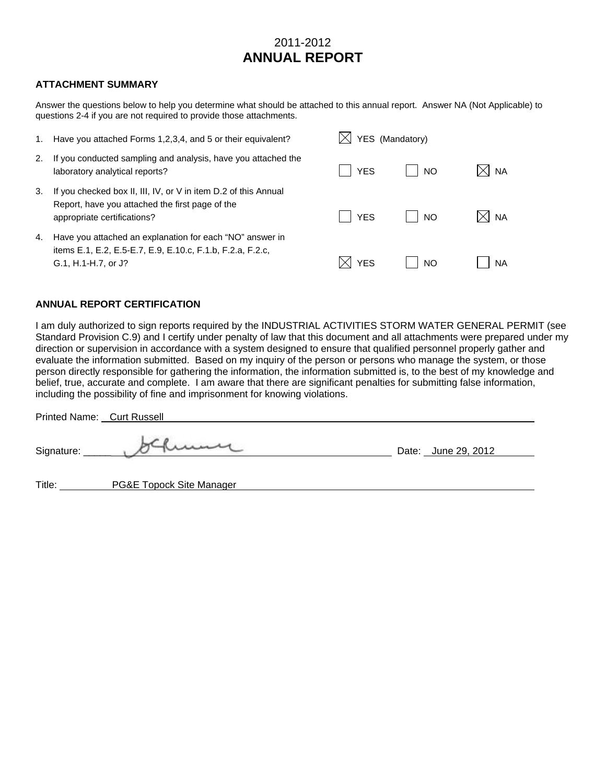#### **ATTACHMENT SUMMARY**

Answer the questions below to help you determine what should be attached to this annual report. Answer NA (Not Applicable) to questions 2-4 if you are not required to provide those attachments.

| 1. | Have you attached Forms 1,2,3,4, and 5 or their equivalent?                                                                                       | YES (Mandatory) |           |       |
|----|---------------------------------------------------------------------------------------------------------------------------------------------------|-----------------|-----------|-------|
| 2. | If you conducted sampling and analysis, have you attached the<br>laboratory analytical reports?                                                   | <b>YFS</b>      | <b>NO</b> | XI na |
| 3. | If you checked box II, III, IV, or V in item D.2 of this Annual<br>Report, have you attached the first page of the<br>appropriate certifications? | <b>YES</b>      | <b>NO</b> | XI na |
| 4. | Have you attached an explanation for each "NO" answer in<br>items E.1, E.2, E.5-E.7, E.9, E.10.c, F.1.b, F.2.a, F.2.c,<br>G.1, H.1-H.7, or J?     | <b>YES</b>      | <b>NO</b> | NA    |

#### **ANNUAL REPORT CERTIFICATION**

I am duly authorized to sign reports required by the INDUSTRIAL ACTIVITIES STORM WATER GENERAL PERMIT (see Standard Provision C.9) and I certify under penalty of law that this document and all attachments were prepared under my direction or supervision in accordance with a system designed to ensure that qualified personnel properly gather and evaluate the information submitted. Based on my inquiry of the person or persons who manage the system, or those person directly responsible for gathering the information, the information submitted is, to the best of my knowledge and belief, true, accurate and complete. I am aware that there are significant penalties for submitting false information, including the possibility of fine and imprisonment for knowing violations.

| Printed Name: Curt Russell |                          |                     |
|----------------------------|--------------------------|---------------------|
| Signature:                 | kumy                     | Date: June 29, 2012 |
| Title:                     | PG&E Topock Site Manager |                     |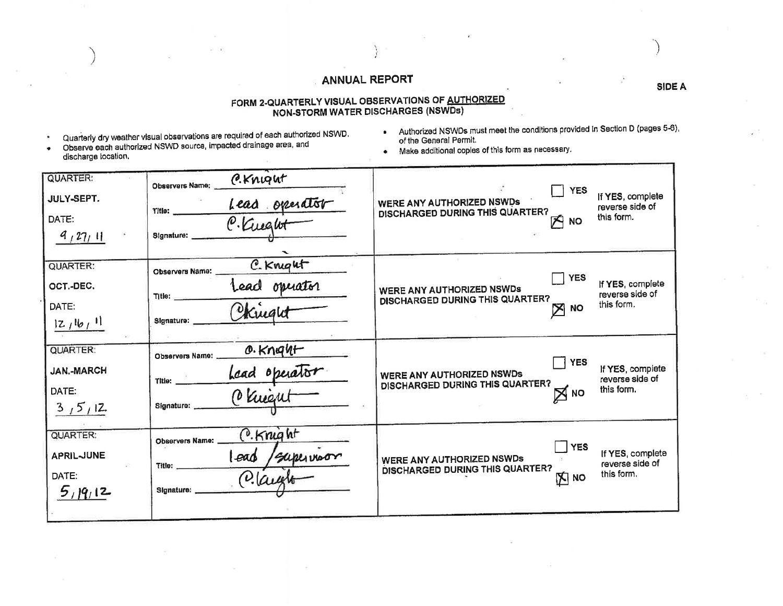# FORM 2-QUARTERLY VISUAL OBSERVATIONS OF <u>AUTHORIZED</u><br>NON-STORM WATER DISCHARGES (NSWDs)

- ×
- Quarterly dry weather visual observations are required of each authorized NSWD.<br>Observe each authorized NSWD source, impacted drainage area, and  $\bullet$ discharge location.
- Authorized NSWDs must meet the conditions provided in Section D (pages 5-6), of the General Permit.
- . Make additional coples of this form as necessary.

| <b>QUARTER:</b><br>JULY-SEPT.<br>DATE:<br>9,27,11        | C.Knight<br>Observers Name:<br>THE: <u>Lead</u> operator<br>Signature:                    | <b>YES</b><br>If YES, complete<br><b>WERE ANY AUTHORIZED NSWDS</b><br>reverse side of<br><b>DISCHARGED DURING THIS QUARTER?</b><br>this form.<br>内 NO |
|----------------------------------------------------------|-------------------------------------------------------------------------------------------|-------------------------------------------------------------------------------------------------------------------------------------------------------|
| QUARTER:<br>OCT.-DEC.<br>DATE:<br>12116111               | C. Krught<br>Observers Name:<br>Lead operator<br>Title:<br>Signature:                     | <b>YES</b><br>If YES, complete<br>WERE ANY AUTHORIZED NSWDs<br>reverse side of<br>DISCHARGED DURING THIS QUARTER?<br>this form.<br>$\geq$ NO          |
| <b>QUARTER:</b><br><b>JAN.-MARCH</b><br>DATE:<br>3/5/12  | O.Knight<br>Observers Name:<br>Lead operator<br>Title: _____<br>Signature:                | <b>TYES</b><br>If YES, complete<br>WERE ANY AUTHORIZED NSWDs<br>reverse side of<br>DISCHARGED DURING THIS QUARTER?<br>this form.<br>$\boxtimes$ NO    |
| <b>QUARTER:</b><br><b>APRIL-JUNE</b><br>DATE:<br>5,19,12 | C. Knight<br><b>Observers Name:</b><br>lead<br>supervisor<br>Title:<br>Olay<br>Signature: | YES<br>If YES, complete<br>WERE ANY AUTHORIZED NSWDs<br>reverse side of<br>DISCHARGED DURING THIS QUARTER?<br>this form.<br><b>DI NO</b>              |

**SIDE A**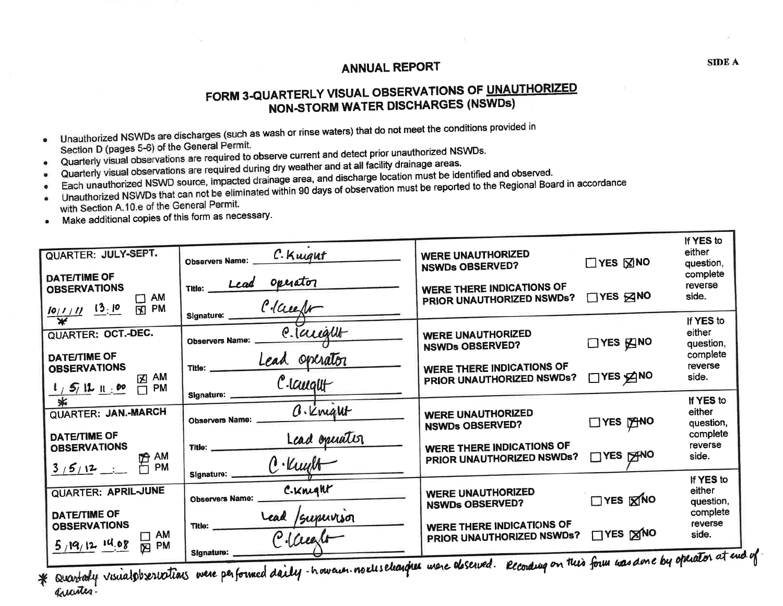# FORM 3-QUARTERLY VISUAL OBSERVATIONS OF UNAUTHORIZED **NON-STORM WATER DISCHARGES (NSWDs)**

Unauthorized NSWDs are discharges (such as wash or rinse waters) that do not meet the conditions provided in

Section D (pages 5-6) of the General Permit.

- Quarterly visual observations are required to observe current and detect prior unauthorized NSWDs.
- Quarterly visual observations are required during dry weather and at all facility drainage areas.
- Each unauthorized NSWD source, impacted drainage area, and discharge location must be identified and observed.
- Unauthorized NSWDs that can not be eliminated within 90 days of observation must be reported to the Regional Board in accordance
- $\bullet$ with Section A.10.e of the General Permit.
- Make additional copies of this form as necessary.  $\bullet$

| QUARTER: JULY-SEPT.<br><b>DATE/TIME OF</b><br><b>OBSERVATIONS</b><br><b>AM</b><br>◻     | C. Kurgut<br><b>Observers Name:</b><br>operator<br>Lead<br>Title: | <b>WERE UNAUTHORIZED</b><br><b>NSWDs OBSERVED?</b><br><b>WERE THERE INDICATIONS OF</b><br>PRIOR UNAUTHORIZED NSWDs? | $\Box$ YES $\boxtimes$ NO<br>$\Box$ YES $\boxtimes$ NO | If YES to<br>either<br>question,<br>complete<br>reverse<br>side. |
|-----------------------------------------------------------------------------------------|-------------------------------------------------------------------|---------------------------------------------------------------------------------------------------------------------|--------------------------------------------------------|------------------------------------------------------------------|
| $\frac{10/1/11}{4}$ $\frac{13.10}{4}$<br><b>PM</b><br>$\mathbf{E}$                      | Clauft<br>Signature:<br>e. laught                                 |                                                                                                                     |                                                        | If YES to<br>either                                              |
| QUARTER: OCT.-DEC.<br>DATE/TIME OF                                                      | Observers Name:<br>Lead operator                                  | <b>WERE UNAUTHORIZED</b><br><b>NSWDs OBSERVED?</b>                                                                  | $\Box$ YES $\times$ NO                                 | question,<br>complete                                            |
| <b>OBSERVATIONS</b><br>AM<br>龱<br>1, 5, 11, 10<br>$\Box$ PM                             | Title:<br>C-laught<br>Signature:                                  | <b>WERE THERE INDICATIONS OF</b><br>PRIOR UNAUTHORIZED NSWDs?                                                       | $\Box$ YES $\Box$ NO                                   | reverse<br>side.                                                 |
| ∗<br><b>QUARTER: JAN.-MARCH</b>                                                         | O. Knight<br><b>Observers Name:</b>                               | <b>WERE UNAUTHORIZED</b><br><b>NSWDs OBSERVED?</b>                                                                  | TYES PANO                                              | If YES to<br>either<br>question,                                 |
| <b>DATE/TIME OF</b><br><b>OBSERVATIONS</b><br><b>PA AM</b><br>FI PM                     | Lead operation<br>Title:<br>C. Kught                              | <b>WERE THERE INDICATIONS OF</b><br>PRIOR UNAUTHORIZED NSWDs?                                                       | <b>TYES PANO</b>                                       | complete<br>reverse<br>side.                                     |
| 3/5/12<br><b>QUARTER: APRIL-JUNE</b>                                                    | Signature:<br>C.Knight<br><b>Observers Name:</b>                  | <b>WERE UNAUTHORIZED</b>                                                                                            | $\Box$ YES $\boxtimes$ NO                              | If YES to<br>either<br>question,                                 |
| <b>DATE/TIME OF</b><br><b>OBSERVATIONS</b><br><b>AM</b><br>$5/19/12$ 14.08<br><b>PM</b> | Lead<br>Supervisor<br>Title:<br>Claust                            | <b>NSWDs OBSERVED?</b><br><b>WERE THERE INDICATIONS OF</b><br>PRIOR UNAUTHORIZED NSWDs?                             | <b>TYES XNO</b>                                        | complete<br>reverse<br>side.                                     |
| 囟                                                                                       | Signature:                                                        | of count as we this Common was his operator at em                                                                   |                                                        |                                                                  |

\* Quartaly visualphericitions were performed daily-howard. nochselearghes usere deserved. Recording or

**SIDE A**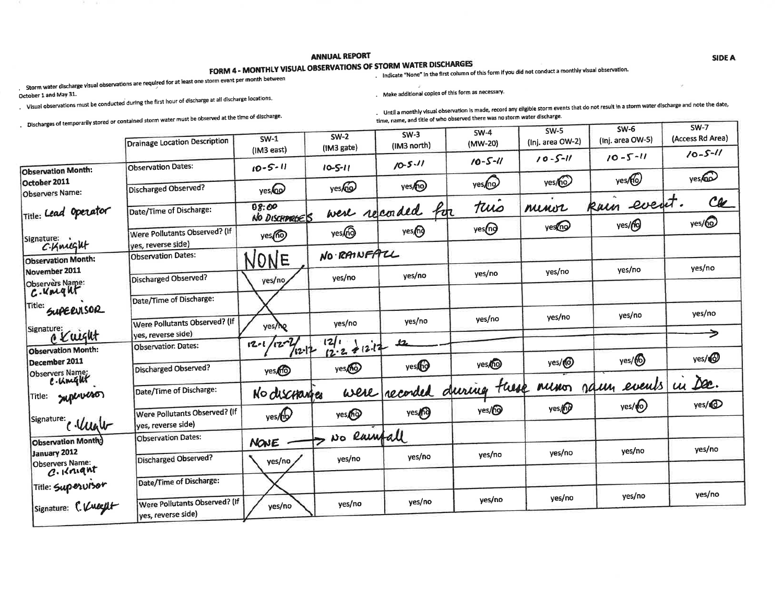# FORM 4 - MONTHLY VISUAL OBSERVATIONS OF STORM WATER DISCHARGES

# . Indicate "None" in the first column of this form if you did not conduct a monthly visual observation.

Storm water discharge visual observations are required for at least one storm event per month between

October 1 and May 31.

. Make additional copies of this form as necessary.

. Visual observations must be conducted during the first hour of discharge at all discharge locations.

. Discharges of temporarily stored or contained storm water must be observed at the time of discharge.

. Until a monthly visual observation is made, record any eligible storm events that do not result in a storm water discharge and note the date, time, name, and title of who observed there was no storm water discharge.

|                                            |                                           |                             |                      |                       | $SW-4$                     | $SW-5$             | <b>SW-6</b>      | SW-7              |
|--------------------------------------------|-------------------------------------------|-----------------------------|----------------------|-----------------------|----------------------------|--------------------|------------------|-------------------|
|                                            | Drainage Location Description             | $SW-1$                      | $SW-2$<br>(1M3 gate) | $SW-3$<br>(IM3 north) | (MW-20)                    | (Inj. area OW-2)   | (Inj. area OW-5) | (Access Rd Area)  |
|                                            | <b>Observation Dates:</b>                 | (1M3 east)<br>$10 - 5 - 11$ |                      | $10 - 5 - 11$         | $10 - 5 - 11$              | $10 - 5 - 11$      | $10 - 5 - 11$    | $10 - 5 - 11$     |
| <b>Observation Month:</b><br>October 2011  |                                           |                             | $10 - 5 - 11$        |                       |                            | yes/ <sub>0</sub>  | yes60            | yes               |
| Observers Name:                            | Discharged Observed?                      | yeso                        | yes <sub>fo</sub>    | yes/ <sub>0</sub>     | yes <sub>(no</sub>         |                    |                  |                   |
| Title: Lead Operator                       | Date/Time of Discharge:                   | 08:00<br>NO DISCHARGES      | were recorded        | Por                   | tuis                       | nunor              | kain event.      | Ca                |
|                                            | Were Pollutants Observed? (If             |                             | yes@                 | yes <sub>(n</sub> g   | yes <sub>(ng</sub>         | yesno              | yes/fo           | yes/ <sub>0</sub> |
| Signature:<br>C.Knught                     | yes, reverse side)                        | yes <sub>(</sub> no         |                      |                       |                            |                    |                  |                   |
| <b>Observation Month:</b>                  | <b>Observation Dates:</b>                 | NONE                        | NO RAINFALL          |                       |                            |                    |                  |                   |
| November 2011<br>Observers Name:           | Discharged Observed?                      | yes/no                      | yes/no               | yes/no                | yes/no                     | yes/no             | yes/no           | yes/no            |
| <i>c</i> . unique                          | Date/Time of Discharge:                   |                             |                      |                       |                            |                    |                  |                   |
| Title:<br>SUPERVISOR                       |                                           |                             |                      |                       |                            |                    | yes/no           | yes/no            |
| Signature:                                 | Were Pollutants Observed? (If             | yes/ho                      | yes/no               | yes/no                | yes/no                     | yes/no             |                  |                   |
| C Kuight                                   | yes, reverse side)<br>Observatior. Dates: | $12 - 24$<br>$12 - 1$       | 12/                  | 12                    |                            |                    |                  | →                 |
| <b>Observation Month:</b><br>December 2011 |                                           | $12 - 12$                   | $12.2 + 12.17$       |                       | yes <sub>/0</sub>          | yes/ <sub>(O</sub> | yes/6            | yes/1             |
| Observers Name;<br>C. Unight               | Discharged Observed?                      | yes                         | yes                  | yes®                  |                            |                    |                  |                   |
|                                            | Date/Time of Discharge:                   | No discranges               |                      |                       | were recorded during these | Muno               | naun events      | ui Dec.           |
| Title: Superveson                          | Were Pollutants Observed? (If             | yes/60                      | yes                  | yes                   | yes/ <sub>0</sub>          | yes/69             | yes/10           | yes/1             |
| Signature:<br>c. Unate                     | yes, reverse side)                        |                             |                      |                       |                            |                    |                  |                   |
| <b>Observation Month:</b>                  | <b>Observation Dates:</b>                 | <b>NOVE</b>                 | No Rainfall          |                       |                            |                    |                  |                   |
| January 2012<br>Observers Name:            | <b>Discharged Observed?</b>               | yes/no                      | yes/no               | yes/no                | yes/no                     | yes/no             | yes/no           | yes/no            |
| $c.\kappa$ nght                            |                                           |                             |                      |                       |                            |                    |                  |                   |
| Title: Superv150r                          | Date/Time of Discharge:                   |                             |                      |                       |                            |                    |                  | yes/no            |
| Signature: C. Vulgilt                      | Were Pollutants Observed? (If             | yes/no                      | yes/no               | yes/no                | yes/no                     | yes/no             | yes/no           |                   |
|                                            | yes, reverse side)                        |                             |                      |                       |                            |                    |                  |                   |

**SIDE A** 

 $\overline{\phantom{a}}$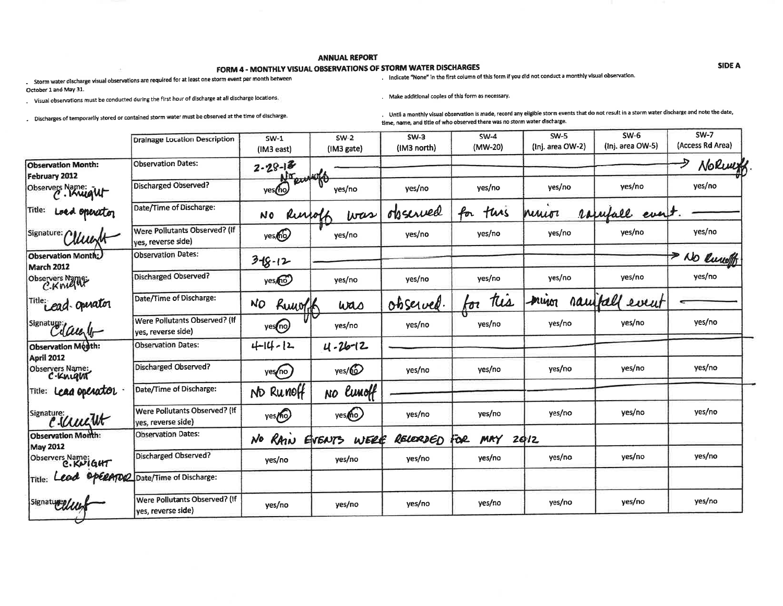#### FORM 4 - MONTHLY VISUAL OBSERVATIONS OF STORM WATER DISCHARGES

. Storm water discharge visual observations are required for at least one storm event per month between October 1 and May 31.

. Visual observations must be conducted during the first hour of discharge at all discharge locations,

. Indicate "None" in the first column of this form if you did not conduct a monthly visual observation.

Make additional copies of this form as necessary.

. Discharges of temporarlly stored or contained storm water must be observed at the time of discharge.

. Until a monthly visual observation is made, record any eligible storm events that do not result in a storm water discharge and note the date, time, name, and title of who observed there was no storm water discharge.

|                                       | <b>Drainage Location Description</b>                | $SW-1$                                  | $SW-2$             | $SW-3$<br>(IM3 north) | $SW-4$<br>(MW-20) | $SW-5$<br>(Inj. area OW-2) | $SW-6$<br>(Inj. area OW-5) | $SW-7$<br>(Access Rd Area) |
|---------------------------------------|-----------------------------------------------------|-----------------------------------------|--------------------|-----------------------|-------------------|----------------------------|----------------------------|----------------------------|
| <b>Observation Month:</b>             | <b>Observation Dates:</b>                           | (IM3 east)<br>$2 - 28 - 13$             | (1M3 gate)         |                       |                   |                            |                            | NoRwyk                     |
| February 2012<br>Observers Name: W    | Discharged Observed?                                | $\overline{\eta}$ ac<br>DJA<br>yes (ho) | ₩<br>yes/no        | yes/no                | yes/no            | yes/no                     | yes/no                     | yes/no                     |
| Title:<br>Loed operator               | Date/Time of Discharge:                             | Russoff<br>N0                           | was                | observed              | for<br>tuis       | ninior                     | ramfall<br>everit          |                            |
| Signature: 1<br>uum                   | Were Pollutants Observed? (If<br>yes, reverse side) | yes, no                                 | yes/no             | yes/no                | yes/no            | yes/no                     | yes/no                     | yes/no                     |
| Observation Month:<br>March 2012      | <b>Observation Dates:</b>                           | $3 + 8 - 12$                            |                    |                       |                   |                            |                            | ↠<br>No Rundo              |
| Observers Name                        | Discharged Observed?                                | yes, no                                 | yes/no             | yes/no                | yes/no            | yes/no                     | yes/no                     | yes/no                     |
| Title: ead. operator                  | Date/Time of Discharge:                             | NO<br>Ruworth                           | was                | observed              | tis<br>tor        | mun                        | raufall<br>event           |                            |
| signature daught                      | Were Pollutants Observed? (If<br>ves, reverse side) | yes(no)                                 | yes/no             | yes/no                | yes/no            | yes/no                     | yes/no                     | yes/no                     |
| Observation Month:<br>April 2012      | <b>Observation Dates:</b>                           | $4 - 14 - 12$                           | $4 - 26 - 12$      |                       |                   |                            |                            |                            |
| Observers Name:<br>C.Knught           | Discharged Observed?                                | yes/no                                  | yes/@              | yes/no                | yes/no            | yes/no                     | yes/no                     | yes/no                     |
| Title: Lead Operator                  | Date/Time of Discharge:                             | Run00<br><b>ND</b>                      | lunoff<br>NO.      |                       |                   |                            |                            |                            |
| Signature:<br>c.comet                 | Were Pollutants Observed? (If<br>yes, reverse side) | yes <sub>(ho</sub> )                    | yes <sub>(ho</sub> | yes/no                | yes/no            | yes/no                     | yes/no                     | yes/no                     |
| Observation Month:<br><b>May 2012</b> | <b>Observation Dates:</b>                           | RAIN<br>No                              | WERE<br>EVENTS     | RELERDED              | Foe<br>MAY        | 2012                       |                            |                            |
| Observers Name:<br>C. KUIGHT          | Discharged Observed?                                | yes/no                                  | yes/no             | yes/no                | yes/no            | yes/no                     | yes/no                     | yes/no                     |
| Title:                                | OPERATOR Date/Time of Discharge:                    |                                         |                    |                       |                   |                            |                            |                            |
| Signaturellus                         | Were Pollutants Observed? (If<br>yes, reverse side) | yes/no                                  | yes/no             | yes/no                | yes/no            | yes/no                     | yes/no                     | yes/no                     |

**SIDE A**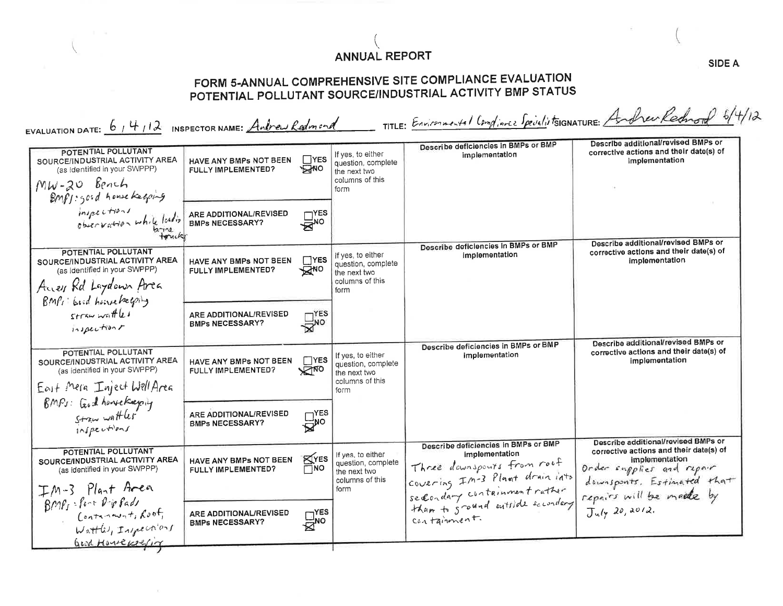# FORM 5-ANNUAL COMPREHENSIVE SITE COMPLIANCE EVALUATION POTENTIAL POLLUTANT SOURCE/INDUSTRIAL ACTIVITY BMP STATUS

| EVALUATION DATE: $61412$ INSPECTOR NAME: Andrew Redmand                                                                                    |                                                  |                                                      |                                                                                    |                                                                                                                    | TITLE: Environmental Compliance SpecialistsiGNATURE: Andrew Rednord 6/4/12                       |
|--------------------------------------------------------------------------------------------------------------------------------------------|--------------------------------------------------|------------------------------------------------------|------------------------------------------------------------------------------------|--------------------------------------------------------------------------------------------------------------------|--------------------------------------------------------------------------------------------------|
| POTENTIAL POLLUTANT<br>SOURCE/INDUSTRIAL ACTIVITY AREA<br>(as identified in your SWPPP)<br>$MW-20$ Bench<br>BMfs: good house keeping       | HAVE ANY BMPs NOT BEEN<br>FULLY IMPLEMENTED?     | $\Box$ YES<br><b>AVO</b>                             | If yes, to either<br>question, complete<br>the next two<br>columns of this<br>form | Describe deficiencies in BMPs or BMP<br>implementation                                                             | Describe additional/revised BMPs or<br>corrective actions and their date(s) of<br>Implementation |
| inspections<br>objectation while loading                                                                                                   | ARE ADDITIONAL/REVISED<br><b>BMPs NECESSARY?</b> | $\sum_{\text{NO}}^{\text{YES}}$                      |                                                                                    |                                                                                                                    |                                                                                                  |
| POTENTIAL POLLUTANT<br>SOURCE/INDUSTRIAL ACTIVITY AREA<br>(as identified in your SWPPP)<br>Accep Rd Laydown Area<br>BMP1 Good homeleagerly | HAVE ANY BMPs NOT BEEN<br>FULLY IMPLEMENTED?     | $\Box$ YES<br>$\bar{\mathbb{R}}^{\text{NO}}$         | If yes, to either<br>question, complete<br>the next two<br>columns of this<br>form | Describe deficiencies in BMPs or BMP<br>implementation                                                             | Describe additional/revised BMPs or<br>corrective actions and their date(s) of<br>implementation |
| $straw with k$<br>inspections                                                                                                              | ARE ADDITIONAL/REVISED<br><b>BMPs NECESSARY?</b> | $\Box^{\text{yes}}_{\text{no}}$                      |                                                                                    |                                                                                                                    |                                                                                                  |
| POTENTIAL POLLUTANT<br>SOURCE/INDUSTRIAL ACTIVITY AREA<br>(as identified in your SWPPP)<br>East Mera Inject Well Area                      | HAVE ANY BMPs NOT BEEN<br>FULLY IMPLEMENTED?     | $\Box$ YES<br>∨∠⊡µ০                                  | If yes, to either<br>question, complete<br>the next two<br>columns of this<br>form | Describe deficiencies in BMPs or BMP<br>implementation                                                             | Describe additional/revised BMPs or<br>corrective actions and their date(s) of<br>implementation |
| BMPs: God howekeeping<br>Stawwatter                                                                                                        | ARE ADDITIONAL/REVISED<br><b>BMPs NECESSARY?</b> | $\sqcap$ YES<br>$\vec{B}^{\text{no}}$                |                                                                                    |                                                                                                                    | Describe additional/revised BMPs or                                                              |
| POTENTIAL POLLUTANT<br>SOURCE/INDUSTRIAL ACTIVITY AREA<br>(as identified in your SWPPP)                                                    | HAVE ANY BMPS NOT BEEN<br>FULLY IMPLEMENTED?     | KYES<br>Πмο                                          | If yes, to either<br>question, complete<br>the next two<br>columns of this         | Describe deficiencies in BMPs or BMP<br>implementation<br>Three downspours from root                               | corrective actions and their date(s) of<br>implementation<br>Order supplies and repair           |
| IM-3 Plant Area<br>$BMF_I =$ fort $P - P$ fads<br>Contrinstant, foot<br>Wattle, Injections                                                 | ARE ADDITIONAL/REVISED<br><b>BMPs NECESSARY?</b> | $\overline{\mathbb{R}}_{\mathsf{no}}^{\mathsf{neg}}$ | form                                                                               | covering In-3 Plant drain into<br>secondary containment rather<br>than to scound outside secondary<br>containment. | doursponts. Estimated that<br>$July$ 20, 2012.                                                   |
| Good Howeverline                                                                                                                           |                                                  |                                                      |                                                                                    |                                                                                                                    |                                                                                                  |

 $\sim$ 

**SIDE A** 

 $\sim$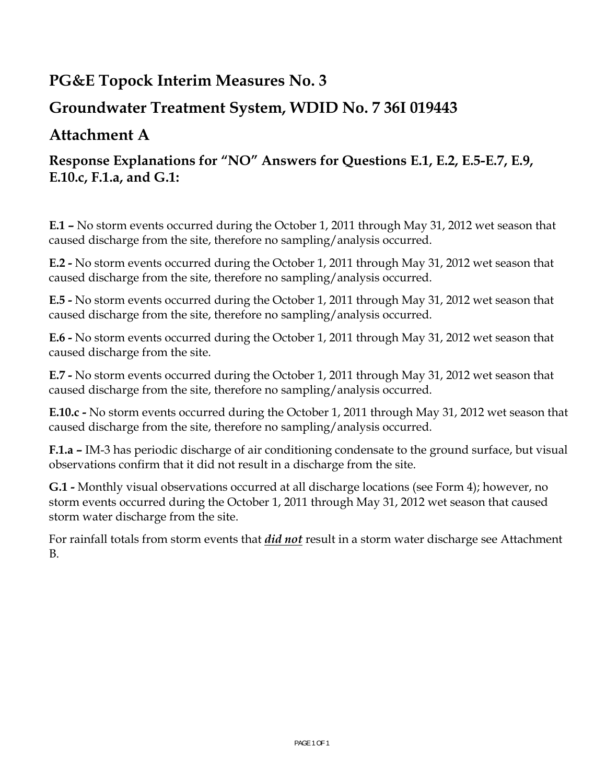# **PG&E Topock Interim Measures No. 3**

# **Groundwater Treatment System, WDID No. 7 36I 019443**

# **Attachment A**

# **Response Explanations for "NO" Answers for Questions E.1, E.2, E.5-E.7, E.9, E.10.c, F.1.a, and G.1:**

**E.1 –** No storm events occurred during the October 1, 2011 through May 31, 2012 wet season that caused discharge from the site, therefore no sampling/analysis occurred.

**E.2 -** No storm events occurred during the October 1, 2011 through May 31, 2012 wet season that caused discharge from the site, therefore no sampling/analysis occurred.

**E.5 -** No storm events occurred during the October 1, 2011 through May 31, 2012 wet season that caused discharge from the site, therefore no sampling/analysis occurred.

**E.6 -** No storm events occurred during the October 1, 2011 through May 31, 2012 wet season that caused discharge from the site.

**E.7 -** No storm events occurred during the October 1, 2011 through May 31, 2012 wet season that caused discharge from the site, therefore no sampling/analysis occurred.

**E.10.c -** No storm events occurred during the October 1, 2011 through May 31, 2012 wet season that caused discharge from the site, therefore no sampling/analysis occurred.

**F.1.a –** IM-3 has periodic discharge of air conditioning condensate to the ground surface, but visual observations confirm that it did not result in a discharge from the site.

**G.1 -** Monthly visual observations occurred at all discharge locations (see Form 4); however, no storm events occurred during the October 1, 2011 through May 31, 2012 wet season that caused storm water discharge from the site.

For rainfall totals from storm events that *did not* result in a storm water discharge see Attachment B.